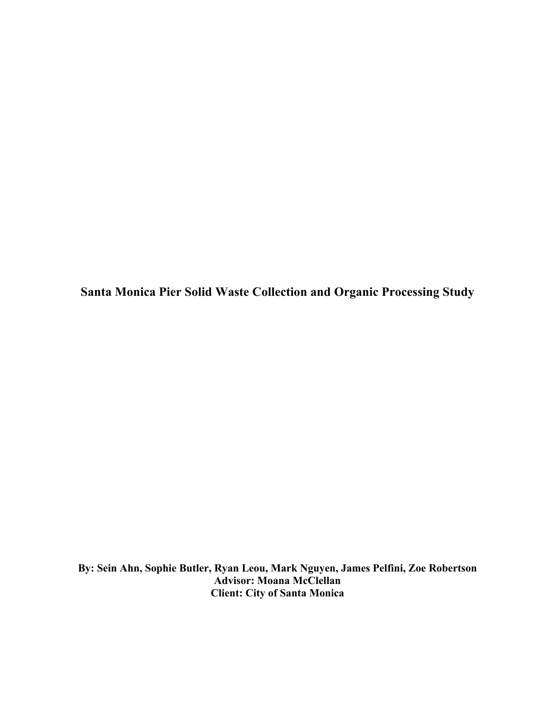**Santa Monica Pier Solid Waste Collection and Organic Processing Study**

**By: Sein Ahn, Sophie Butler, Ryan Leou, Mark Nguyen, James Pelfini, Zoe Robertson Advisor: Moana McClellan Client: City of Santa Monica**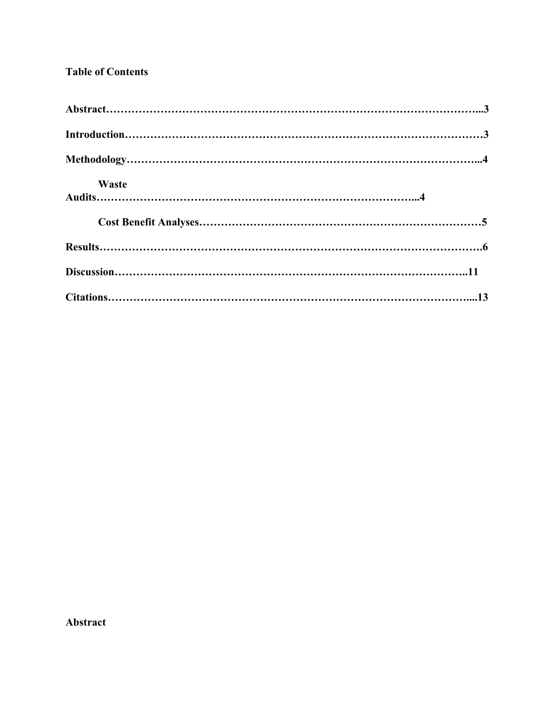# **Table of Contents**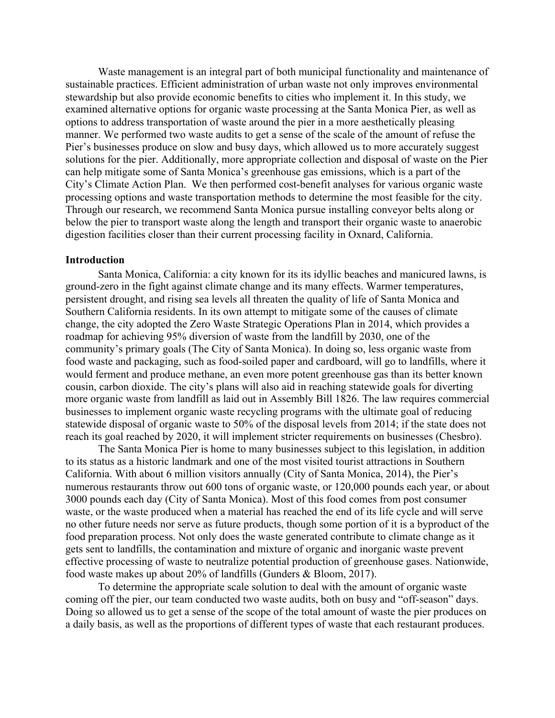Waste management is an integral part of both municipal functionality and maintenance of sustainable practices. Efficient administration of urban waste not only improves environmental stewardship but also provide economic benefits to cities who implement it. In this study, we examined alternative options for organic waste processing at the Santa Monica Pier, as well as options to address transportation of waste around the pier in a more aesthetically pleasing manner. We performed two waste audits to get a sense of the scale of the amount of refuse the Pier's businesses produce on slow and busy days, which allowed us to more accurately suggest solutions for the pier. Additionally, more appropriate collection and disposal of waste on the Pier can help mitigate some of Santa Monica's greenhouse gas emissions, which is a part of the City's Climate Action Plan. We then performed cost-benefit analyses for various organic waste processing options and waste transportation methods to determine the most feasible for the city. Through our research, we recommend Santa Monica pursue installing conveyor belts along or below the pier to transport waste along the length and transport their organic waste to anaerobic digestion facilities closer than their current processing facility in Oxnard, California.

### **Introduction**

Santa Monica, California: a city known for its its idyllic beaches and manicured lawns, is ground-zero in the fight against climate change and its many effects. Warmer temperatures, persistent drought, and rising sea levels all threaten the quality of life of Santa Monica and Southern California residents. In its own attempt to mitigate some of the causes of climate change, the city adopted the Zero Waste Strategic Operations Plan in 2014, which provides a roadmap for achieving 95% diversion of waste from the landfill by 2030, one of the community's primary goals (The City of Santa Monica). In doing so, less organic waste from food waste and packaging, such as food-soiled paper and cardboard, will go to landfills, where it would ferment and produce methane, an even more potent greenhouse gas than its better known cousin, carbon dioxide. The city's plans will also aid in reaching statewide goals for diverting more organic waste from landfill as laid out in Assembly Bill 1826. The law requires commercial businesses to implement organic waste recycling programs with the ultimate goal of reducing statewide disposal of organic waste to 50% of the disposal levels from 2014; if the state does not reach its goal reached by 2020, it will implement stricter requirements on businesses (Chesbro).

The Santa Monica Pier is home to many businesses subject to this legislation, in addition to its status as a historic landmark and one of the most visited tourist attractions in Southern California. With about 6 million visitors annually (City of Santa Monica, 2014), the Pier's numerous restaurants throw out 600 tons of organic waste, or 120,000 pounds each year, or about 3000 pounds each day (City of Santa Monica). Most of this food comes from post consumer waste, or the waste produced when a material has reached the end of its life cycle and will serve no other future needs nor serve as future products, though some portion of it is a byproduct of the food preparation process. Not only does the waste generated contribute to climate change as it gets sent to landfills, the contamination and mixture of organic and inorganic waste prevent effective processing of waste to neutralize potential production of greenhouse gases. Nationwide, food waste makes up about 20% of landfills (Gunders & Bloom, 2017).

To determine the appropriate scale solution to deal with the amount of organic waste coming off the pier, our team conducted two waste audits, both on busy and "off-season" days. Doing so allowed us to get a sense of the scope of the total amount of waste the pier produces on a daily basis, as well as the proportions of different types of waste that each restaurant produces.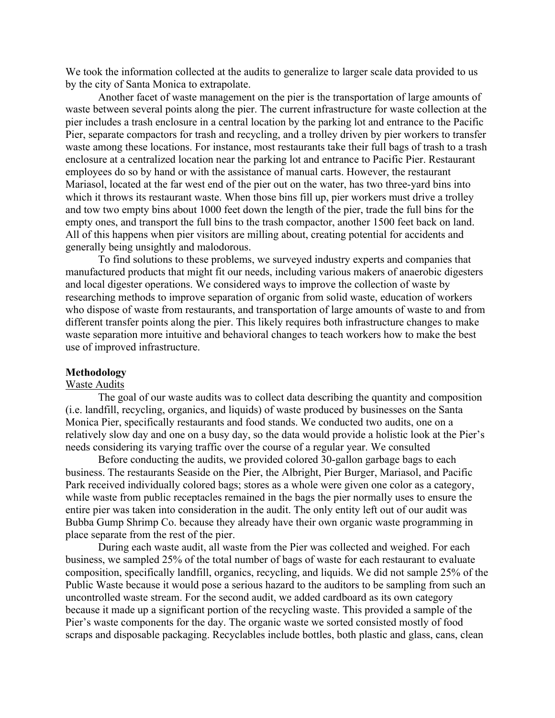We took the information collected at the audits to generalize to larger scale data provided to us by the city of Santa Monica to extrapolate.

Another facet of waste management on the pier is the transportation of large amounts of waste between several points along the pier. The current infrastructure for waste collection at the pier includes a trash enclosure in a central location by the parking lot and entrance to the Pacific Pier, separate compactors for trash and recycling, and a trolley driven by pier workers to transfer waste among these locations. For instance, most restaurants take their full bags of trash to a trash enclosure at a centralized location near the parking lot and entrance to Pacific Pier. Restaurant employees do so by hand or with the assistance of manual carts. However, the restaurant Mariasol, located at the far west end of the pier out on the water, has two three-yard bins into which it throws its restaurant waste. When those bins fill up, pier workers must drive a trolley and tow two empty bins about 1000 feet down the length of the pier, trade the full bins for the empty ones, and transport the full bins to the trash compactor, another 1500 feet back on land. All of this happens when pier visitors are milling about, creating potential for accidents and generally being unsightly and malodorous.

To find solutions to these problems, we surveyed industry experts and companies that manufactured products that might fit our needs, including various makers of anaerobic digesters and local digester operations. We considered ways to improve the collection of waste by researching methods to improve separation of organic from solid waste, education of workers who dispose of waste from restaurants, and transportation of large amounts of waste to and from different transfer points along the pier. This likely requires both infrastructure changes to make waste separation more intuitive and behavioral changes to teach workers how to make the best use of improved infrastructure.

#### **Methodology**

### Waste Audits

The goal of our waste audits was to collect data describing the quantity and composition (i.e. landfill, recycling, organics, and liquids) of waste produced by businesses on the Santa Monica Pier, specifically restaurants and food stands. We conducted two audits, one on a relatively slow day and one on a busy day, so the data would provide a holistic look at the Pier's needs considering its varying traffic over the course of a regular year. We consulted

Before conducting the audits, we provided colored 30-gallon garbage bags to each business. The restaurants Seaside on the Pier, the Albright, Pier Burger, Mariasol, and Pacific Park received individually colored bags; stores as a whole were given one color as a category, while waste from public receptacles remained in the bags the pier normally uses to ensure the entire pier was taken into consideration in the audit. The only entity left out of our audit was Bubba Gump Shrimp Co. because they already have their own organic waste programming in place separate from the rest of the pier.

During each waste audit, all waste from the Pier was collected and weighed. For each business, we sampled 25% of the total number of bags of waste for each restaurant to evaluate composition, specifically landfill, organics, recycling, and liquids. We did not sample 25% of the Public Waste because it would pose a serious hazard to the auditors to be sampling from such an uncontrolled waste stream. For the second audit, we added cardboard as its own category because it made up a significant portion of the recycling waste. This provided a sample of the Pier's waste components for the day. The organic waste we sorted consisted mostly of food scraps and disposable packaging. Recyclables include bottles, both plastic and glass, cans, clean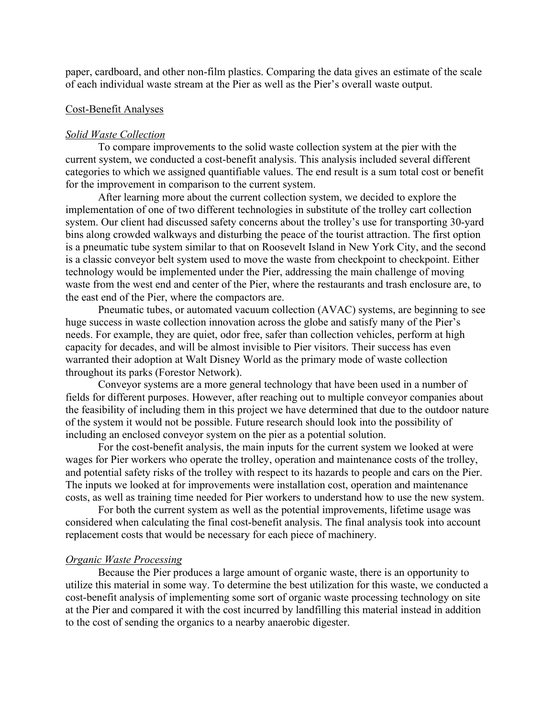paper, cardboard, and other non-film plastics. Comparing the data gives an estimate of the scale of each individual waste stream at the Pier as well as the Pier's overall waste output.

### Cost-Benefit Analyses

#### *Solid Waste Collection*

To compare improvements to the solid waste collection system at the pier with the current system, we conducted a cost-benefit analysis. This analysis included several different categories to which we assigned quantifiable values. The end result is a sum total cost or benefit for the improvement in comparison to the current system.

After learning more about the current collection system, we decided to explore the implementation of one of two different technologies in substitute of the trolley cart collection system. Our client had discussed safety concerns about the trolley's use for transporting 30-yard bins along crowded walkways and disturbing the peace of the tourist attraction. The first option is a pneumatic tube system similar to that on Roosevelt Island in New York City, and the second is a classic conveyor belt system used to move the waste from checkpoint to checkpoint. Either technology would be implemented under the Pier, addressing the main challenge of moving waste from the west end and center of the Pier, where the restaurants and trash enclosure are, to the east end of the Pier, where the compactors are.

Pneumatic tubes, or automated vacuum collection (AVAC) systems, are beginning to see huge success in waste collection innovation across the globe and satisfy many of the Pier's needs. For example, they are quiet, odor free, safer than collection vehicles, perform at high capacity for decades, and will be almost invisible to Pier visitors. Their success has even warranted their adoption at Walt Disney World as the primary mode of waste collection throughout its parks (Forestor Network).

Conveyor systems are a more general technology that have been used in a number of fields for different purposes. However, after reaching out to multiple conveyor companies about the feasibility of including them in this project we have determined that due to the outdoor nature of the system it would not be possible. Future research should look into the possibility of including an enclosed conveyor system on the pier as a potential solution.

For the cost-benefit analysis, the main inputs for the current system we looked at were wages for Pier workers who operate the trolley, operation and maintenance costs of the trolley, and potential safety risks of the trolley with respect to its hazards to people and cars on the Pier. The inputs we looked at for improvements were installation cost, operation and maintenance costs, as well as training time needed for Pier workers to understand how to use the new system.

For both the current system as well as the potential improvements, lifetime usage was considered when calculating the final cost-benefit analysis. The final analysis took into account replacement costs that would be necessary for each piece of machinery.

#### *Organic Waste Processing*

Because the Pier produces a large amount of organic waste, there is an opportunity to utilize this material in some way. To determine the best utilization for this waste, we conducted a cost-benefit analysis of implementing some sort of organic waste processing technology on site at the Pier and compared it with the cost incurred by landfilling this material instead in addition to the cost of sending the organics to a nearby anaerobic digester.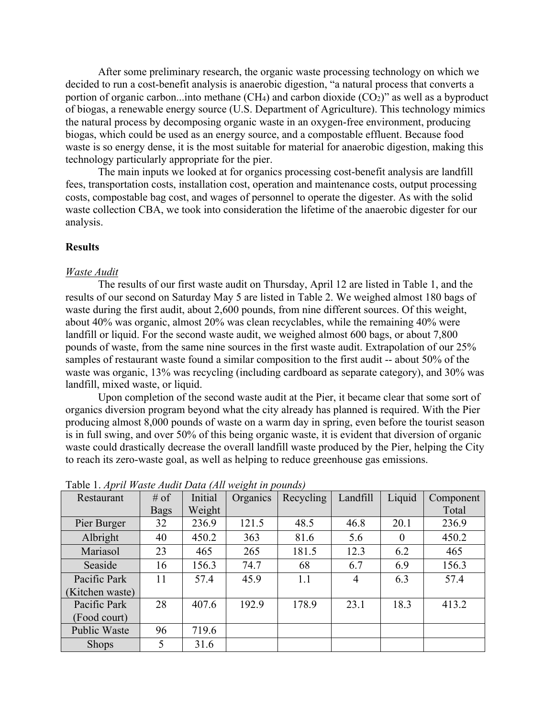After some preliminary research, the organic waste processing technology on which we decided to run a cost-benefit analysis is anaerobic digestion, "a natural process that converts a portion of organic carbon...into methane  $(CH_4)$  and carbon dioxide  $(CO_2)$ " as well as a byproduct of biogas, a renewable energy source (U.S. Department of Agriculture). This technology mimics the natural process by decomposing organic waste in an oxygen-free environment, producing biogas, which could be used as an energy source, and a compostable effluent. Because food waste is so energy dense, it is the most suitable for material for anaerobic digestion, making this technology particularly appropriate for the pier.

The main inputs we looked at for organics processing cost-benefit analysis are landfill fees, transportation costs, installation cost, operation and maintenance costs, output processing costs, compostable bag cost, and wages of personnel to operate the digester. As with the solid waste collection CBA, we took into consideration the lifetime of the anaerobic digester for our analysis.

### **Results**

#### *Waste Audit*

The results of our first waste audit on Thursday, April 12 are listed in Table 1, and the results of our second on Saturday May 5 are listed in Table 2. We weighed almost 180 bags of waste during the first audit, about 2,600 pounds, from nine different sources. Of this weight, about 40% was organic, almost 20% was clean recyclables, while the remaining 40% were landfill or liquid. For the second waste audit, we weighed almost 600 bags, or about 7,800 pounds of waste, from the same nine sources in the first waste audit. Extrapolation of our 25% samples of restaurant waste found a similar composition to the first audit -- about 50% of the waste was organic, 13% was recycling (including cardboard as separate category), and 30% was landfill, mixed waste, or liquid.

Upon completion of the second waste audit at the Pier, it became clear that some sort of organics diversion program beyond what the city already has planned is required. With the Pier producing almost 8,000 pounds of waste on a warm day in spring, even before the tourist season is in full swing, and over 50% of this being organic waste, it is evident that diversion of organic waste could drastically decrease the overall landfill waste produced by the Pier, helping the City to reach its zero-waste goal, as well as helping to reduce greenhouse gas emissions.

| Restaurant     | $#$ of      | Initial | Organics | Recycling | Landfill       | Liquid   | Component |
|----------------|-------------|---------|----------|-----------|----------------|----------|-----------|
|                | <b>Bags</b> | Weight  |          |           |                |          | Total     |
| Pier Burger    | 32          | 236.9   | 121.5    | 48.5      | 46.8           | 20.1     | 236.9     |
| Albright       | 40          | 450.2   | 363      | 81.6      | 5.6            | $\theta$ | 450.2     |
| Mariasol       | 23          | 465     | 265      | 181.5     | 12.3           | 6.2      | 465       |
| Seaside        | 16          | 156.3   | 74.7     | 68        | 6.7            | 6.9      | 156.3     |
| Pacific Park   | 11          | 57.4    | 45.9     | 1.1       | $\overline{4}$ | 6.3      | 57.4      |
| Kitchen waste) |             |         |          |           |                |          |           |
| Pacific Park   | 28          | 407.6   | 192.9    | 178.9     | 23.1           | 18.3     | 413.2     |
| (Food court)   |             |         |          |           |                |          |           |
| Public Waste   | 96          | 719.6   |          |           |                |          |           |
| <b>Shops</b>   | 5           | 31.6    |          |           |                |          |           |

Table 1. *April Waste Audit Data (All weight in pounds)*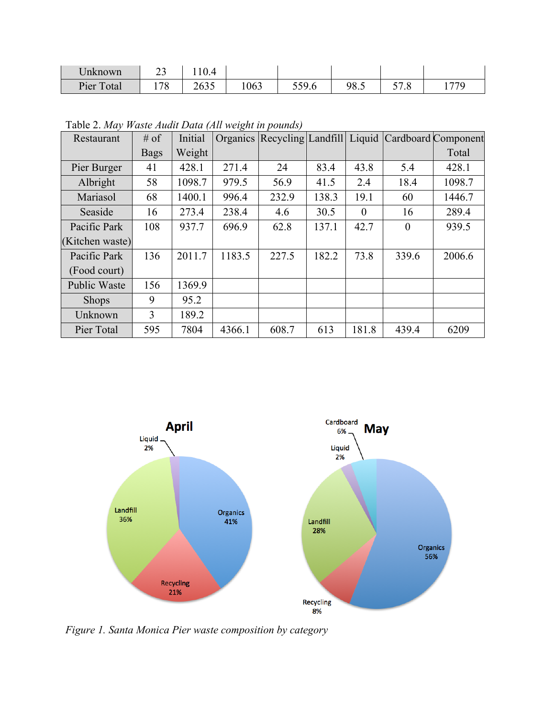| Jnknown                       | ر_         |                           |      |                       |      |                                    |     |
|-------------------------------|------------|---------------------------|------|-----------------------|------|------------------------------------|-----|
| Pier<br>$\mathbf{r}$<br>`otal | .70<br>170 | $\cap$ c $\cap$ r<br>ر رن | 1063 | 5507<br><i>JJJ</i> .v | 98.5 | --<br>$\Omega$<br>$\cdot$ o<br>، ب | 770 |

Table 2. *May Waste Audit Data (All weight in pounds)*

| Restaurant          | $#$ of      | Initial |        |       |       |          |          | Organics Recycling Landfill Liquid Cardboard Component |
|---------------------|-------------|---------|--------|-------|-------|----------|----------|--------------------------------------------------------|
|                     | <b>Bags</b> | Weight  |        |       |       |          |          | Total                                                  |
| Pier Burger         | 41          | 428.1   | 271.4  | 24    | 83.4  | 43.8     | 5.4      | 428.1                                                  |
| Albright            | 58          | 1098.7  | 979.5  | 56.9  | 41.5  | 2.4      | 18.4     | 1098.7                                                 |
| Mariasol            | 68          | 1400.1  | 996.4  | 232.9 | 138.3 | 19.1     | 60       | 1446.7                                                 |
| Seaside             | 16          | 273.4   | 238.4  | 4.6   | 30.5  | $\theta$ | 16       | 289.4                                                  |
| Pacific Park        | 108         | 937.7   | 696.9  | 62.8  | 137.1 | 42.7     | $\theta$ | 939.5                                                  |
| (Kitchen waste)     |             |         |        |       |       |          |          |                                                        |
| Pacific Park        | 136         | 2011.7  | 1183.5 | 227.5 | 182.2 | 73.8     | 339.6    | 2006.6                                                 |
| (Food court)        |             |         |        |       |       |          |          |                                                        |
| <b>Public Waste</b> | 156         | 1369.9  |        |       |       |          |          |                                                        |
| <b>Shops</b>        | 9           | 95.2    |        |       |       |          |          |                                                        |
| Unknown             | 3           | 189.2   |        |       |       |          |          |                                                        |
| Pier Total          | 595         | 7804    | 4366.1 | 608.7 | 613   | 181.8    | 439.4    | 6209                                                   |



*Figure 1. Santa Monica Pier waste composition by category*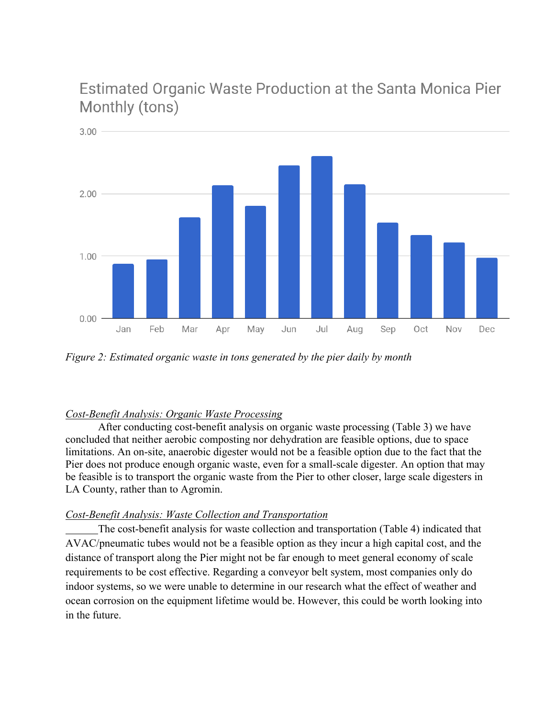Estimated Organic Waste Production at the Santa Monica Pier Monthly (tons)



*Figure 2: Estimated organic waste in tons generated by the pier daily by month*

# *Cost-Benefit Analysis: Organic Waste Processing*

After conducting cost-benefit analysis on organic waste processing (Table 3) we have concluded that neither aerobic composting nor dehydration are feasible options, due to space limitations. An on-site, anaerobic digester would not be a feasible option due to the fact that the Pier does not produce enough organic waste, even for a small-scale digester. An option that may be feasible is to transport the organic waste from the Pier to other closer, large scale digesters in LA County, rather than to Agromin.

# *Cost-Benefit Analysis: Waste Collection and Transportation*

The cost-benefit analysis for waste collection and transportation (Table 4) indicated that AVAC/pneumatic tubes would not be a feasible option as they incur a high capital cost, and the distance of transport along the Pier might not be far enough to meet general economy of scale requirements to be cost effective. Regarding a conveyor belt system, most companies only do indoor systems, so we were unable to determine in our research what the effect of weather and ocean corrosion on the equipment lifetime would be. However, this could be worth looking into in the future.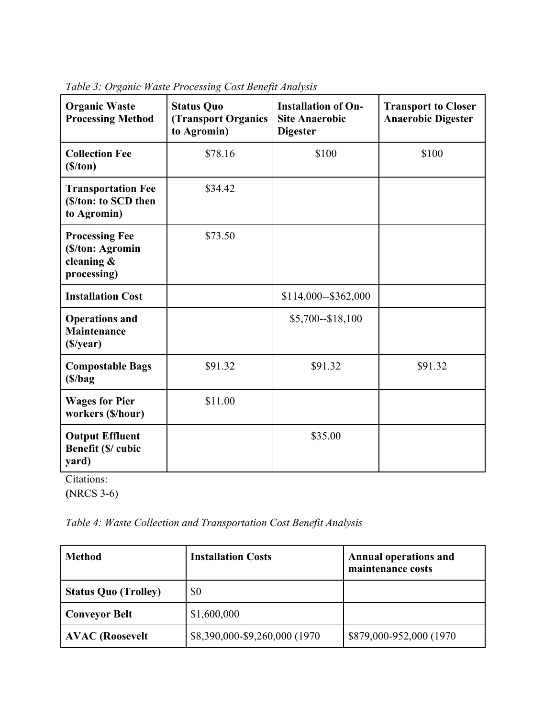| <b>Organic Waste</b><br><b>Processing Method</b>                          | <b>Status Quo</b><br><b>(Transport Organics)</b><br>to Agromin) | <b>Installation of On-</b><br><b>Site Anaerobic</b><br><b>Digester</b> | <b>Transport to Closer</b><br><b>Anaerobic Digester</b> |
|---------------------------------------------------------------------------|-----------------------------------------------------------------|------------------------------------------------------------------------|---------------------------------------------------------|
| <b>Collection Fee</b><br>(S/ton)                                          | \$78.16                                                         | \$100                                                                  | \$100                                                   |
| <b>Transportation Fee</b><br>(\$/ton: to SCD then<br>to Agromin)          | \$34.42                                                         |                                                                        |                                                         |
| <b>Processing Fee</b><br>(\$/ton: Agromin<br>cleaning $\&$<br>processing) | \$73.50                                                         |                                                                        |                                                         |
| <b>Installation Cost</b>                                                  |                                                                 | \$114,000--\$362,000                                                   |                                                         |
| <b>Operations and</b><br><b>Maintenance</b><br>(\$/year)                  |                                                                 | $$5,700 - $18,100$                                                     |                                                         |
| <b>Compostable Bags</b><br>(S/bag)                                        | \$91.32                                                         | \$91.32                                                                | \$91.32                                                 |
| <b>Wages for Pier</b><br>workers (\$/hour)                                | \$11.00                                                         |                                                                        |                                                         |
| <b>Output Effluent</b><br>Benefit (\$/ cubic<br>yard)                     |                                                                 | \$35.00                                                                |                                                         |

*Table 3: Organic Waste Processing Cost Benefit Analysis*

Citations: **(**NRCS 3-6)

*Table 4: Waste Collection and Transportation Cost Benefit Analysis*

| <b>Method</b>               | <b>Installation Costs</b>      | <b>Annual operations and</b><br>maintenance costs |
|-----------------------------|--------------------------------|---------------------------------------------------|
| <b>Status Quo (Trolley)</b> | \$0                            |                                                   |
| <b>Conveyor Belt</b>        | \$1,600,000                    |                                                   |
| <b>AVAC</b> (Roosevelt      | \$8,390,000-\$9,260,000 (1970) | \$879,000-952,000 (1970)                          |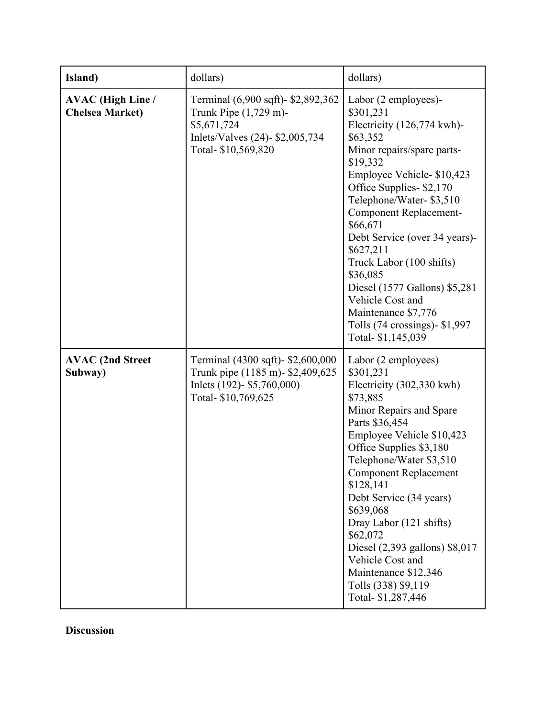| Island)                                            | dollars)                                                                                                                            | dollars)                                                                                                                                                                                                                                                                                                                                                                                                                                                                          |
|----------------------------------------------------|-------------------------------------------------------------------------------------------------------------------------------------|-----------------------------------------------------------------------------------------------------------------------------------------------------------------------------------------------------------------------------------------------------------------------------------------------------------------------------------------------------------------------------------------------------------------------------------------------------------------------------------|
| <b>AVAC</b> (High Line /<br><b>Chelsea Market)</b> | Terminal (6,900 sqft)- \$2,892,362<br>Trunk Pipe (1,729 m)-<br>\$5,671,724<br>Inlets/Valves (24)- \$2,005,734<br>Total-\$10,569,820 | Labor (2 employees)-<br>\$301,231<br>Electricity (126,774 kwh)-<br>\$63,352<br>Minor repairs/spare parts-<br>\$19,332<br>Employee Vehicle- \$10,423<br>Office Supplies-\$2,170<br>Telephone/Water-\$3,510<br><b>Component Replacement-</b><br>\$66,671<br>Debt Service (over 34 years)-<br>\$627,211<br>Truck Labor (100 shifts)<br>\$36,085<br>Diesel (1577 Gallons) \$5,281<br>Vehicle Cost and<br>Maintenance \$7,776<br>Tolls $(74$ crossings)- \$1,997<br>Total- \$1,145,039 |
| <b>AVAC (2nd Street</b><br>Subway)                 | Terminal (4300 sqft)- \$2,600,000<br>Trunk pipe (1185 m) - \$2,409,625<br>Inlets (192)- \$5,760,000)<br>Total-\$10,769,625          | Labor (2 employees)<br>\$301,231<br>Electricity (302,330 kwh)<br>\$73,885<br>Minor Repairs and Spare<br>Parts \$36,454<br>Employee Vehicle \$10,423<br>Office Supplies \$3,180<br>Telephone/Water \$3,510<br><b>Component Replacement</b><br>\$128,141<br>Debt Service (34 years)<br>\$639,068<br>Dray Labor (121 shifts)<br>\$62,072<br>Diesel (2,393 gallons) \$8,017<br>Vehicle Cost and<br>Maintenance \$12,346<br>Tolls (338) \$9,119<br>Total-\$1,287,446                   |

**Discussion**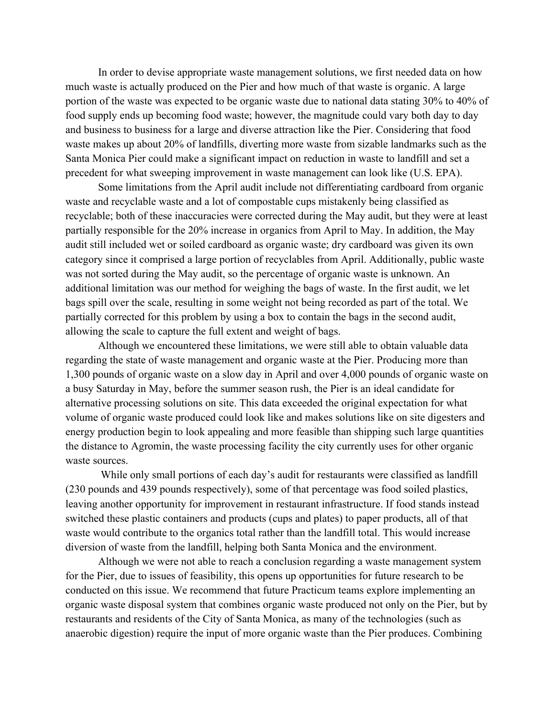In order to devise appropriate waste management solutions, we first needed data on how much waste is actually produced on the Pier and how much of that waste is organic. A large portion of the waste was expected to be organic waste due to national data stating 30% to 40% of food supply ends up becoming food waste; however, the magnitude could vary both day to day and business to business for a large and diverse attraction like the Pier. Considering that food waste makes up about 20% of landfills, diverting more waste from sizable landmarks such as the Santa Monica Pier could make a significant impact on reduction in waste to landfill and set a precedent for what sweeping improvement in waste management can look like (U.S. EPA).

Some limitations from the April audit include not differentiating cardboard from organic waste and recyclable waste and a lot of compostable cups mistakenly being classified as recyclable; both of these inaccuracies were corrected during the May audit, but they were at least partially responsible for the 20% increase in organics from April to May. In addition, the May audit still included wet or soiled cardboard as organic waste; dry cardboard was given its own category since it comprised a large portion of recyclables from April. Additionally, public waste was not sorted during the May audit, so the percentage of organic waste is unknown. An additional limitation was our method for weighing the bags of waste. In the first audit, we let bags spill over the scale, resulting in some weight not being recorded as part of the total. We partially corrected for this problem by using a box to contain the bags in the second audit, allowing the scale to capture the full extent and weight of bags.

Although we encountered these limitations, we were still able to obtain valuable data regarding the state of waste management and organic waste at the Pier. Producing more than 1,300 pounds of organic waste on a slow day in April and over 4,000 pounds of organic waste on a busy Saturday in May, before the summer season rush, the Pier is an ideal candidate for alternative processing solutions on site. This data exceeded the original expectation for what volume of organic waste produced could look like and makes solutions like on site digesters and energy production begin to look appealing and more feasible than shipping such large quantities the distance to Agromin, the waste processing facility the city currently uses for other organic waste sources.

While only small portions of each day's audit for restaurants were classified as landfill (230 pounds and 439 pounds respectively), some of that percentage was food soiled plastics, leaving another opportunity for improvement in restaurant infrastructure. If food stands instead switched these plastic containers and products (cups and plates) to paper products, all of that waste would contribute to the organics total rather than the landfill total. This would increase diversion of waste from the landfill, helping both Santa Monica and the environment.

Although we were not able to reach a conclusion regarding a waste management system for the Pier, due to issues of feasibility, this opens up opportunities for future research to be conducted on this issue. We recommend that future Practicum teams explore implementing an organic waste disposal system that combines organic waste produced not only on the Pier, but by restaurants and residents of the City of Santa Monica, as many of the technologies (such as anaerobic digestion) require the input of more organic waste than the Pier produces. Combining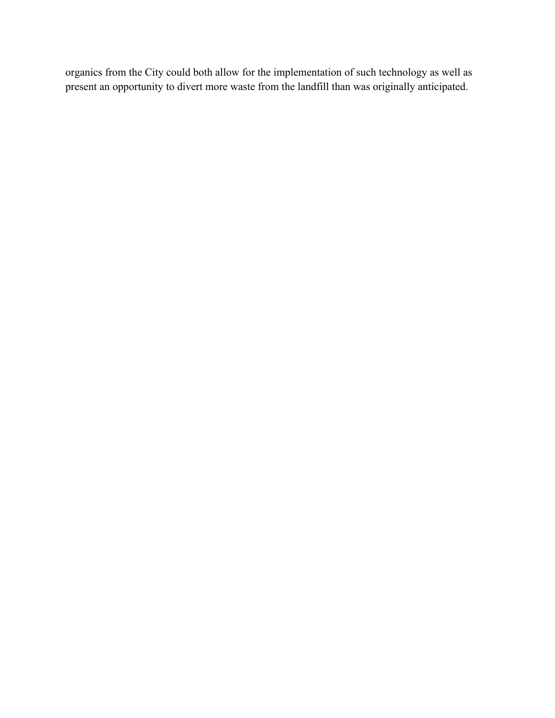organics from the City could both allow for the implementation of such technology as well as present an opportunity to divert more waste from the landfill than was originally anticipated.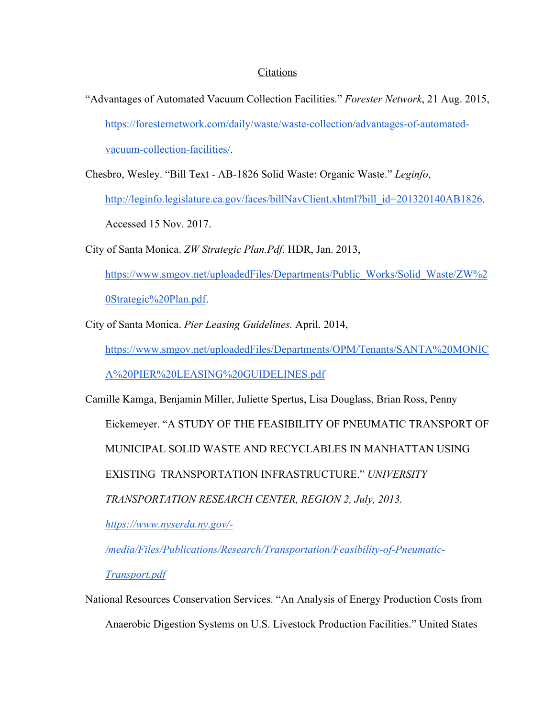# Citations

"Advantages of Automated Vacuum Collection Facilities." *Forester Network*, 21 Aug. 2015, https://foresternetwork.com/daily/waste/waste-collection/advantages-of-automatedvacuum-collection-facilities/.

Chesbro, Wesley. "Bill Text - AB-1826 Solid Waste: Organic Waste." *Leginfo*,

http://leginfo.legislature.ca.gov/faces/billNavClient.xhtml?bill\_id=201320140AB1826. Accessed 15 Nov. 2017.

City of Santa Monica. *ZW Strategic Plan.Pdf*. HDR, Jan. 2013,

https://www.smgov.net/uploadedFiles/Departments/Public\_Works/Solid\_Waste/ZW%2 0Strategic%20Plan.pdf.

City of Santa Monica. *Pier Leasing Guidelines.* April. 2014,

https://www.smgov.net/uploadedFiles/Departments/OPM/Tenants/SANTA%20MONIC

A%20PIER%20LEASING%20GUIDELINES.pdf

Camille Kamga, Benjamin Miller, Juliette Spertus, Lisa Douglass, Brian Ross, Penny Eickemeyer. "A STUDY OF THE FEASIBILITY OF PNEUMATIC TRANSPORT OF MUNICIPAL SOLID WASTE AND RECYCLABLES IN MANHATTAN USING EXISTING TRANSPORTATION INFRASTRUCTURE." *UNIVERSITY TRANSPORTATION RESEARCH CENTER, REGION 2, July, 2013. https://www.nyserda.ny.gov/-*

*/media/Files/Publications/Research/Transportation/Feasibility-of-Pneumatic-*

*Transport.pdf*

National Resources Conservation Services. "An Analysis of Energy Production Costs from Anaerobic Digestion Systems on U.S. Livestock Production Facilities." United States